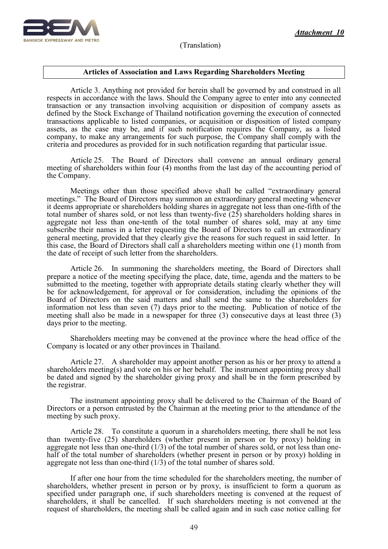

## **Articles of Association and Laws Regarding Shareholders Meeting**

Article 3. Anything not provided for herein shall be governed by and construed in all respects in accordance with the laws. Should the Company agree to enter into any connected transaction or any transaction involving acquisition or disposition of company assets as defined by the Stock Exchange of Thailand notification governing the execution of connected transactions applicable to listed companies, or acquisition or disposition of listed company assets, as the case may be, and if such notification requires the Company, as a listed company, to make any arrangements for such purpose, the Company shall comply with the criteria and procedures as provided for in such notification regarding that particular issue.

Article 25. The Board of Directors shall convene an annual ordinary general meeting of shareholders within four (4) months from the last day of the accounting period of the Company.

Meetings other than those specified above shall be called "extraordinary general meetings." The Board of Directors may summon an extraordinary general meeting whenever it deems appropriate or shareholders holding shares in aggregate not less than one-fifth of the total number of shares sold, or not less than twenty-five (25) shareholders holding shares in aggregate not less than one-tenth of the total number of shares sold, may at any time subscribe their names in a letter requesting the Board of Directors to call an extraordinary general meeting, provided that they clearly give the reasons for such request in said letter. In this case, the Board of Directors shall call a shareholders meeting within one (1) month from the date of receipt of such letter from the shareholders.

Article 26. In summoning the shareholders meeting, the Board of Directors shall prepare a notice of the meeting specifying the place, date, time, agenda and the matters to be submitted to the meeting, together with appropriate details stating clearly whether they will be for acknowledgement, for approval or for consideration, including the opinions of the Board of Directors on the said matters and shall send the same to the shareholders for information not less than seven (7) days prior to the meeting. Publication of notice of the meeting shall also be made in a newspaper for three (3) consecutive days at least three (3) days prior to the meeting.

Shareholders meeting may be convened at the province where the head office of the Company is located or any other provinces in Thailand.

Article 27. A shareholder may appoint another person as his or her proxy to attend a shareholders meeting(s) and vote on his or her behalf. The instrument appointing proxy shall be dated and signed by the shareholder giving proxy and shall be in the form prescribed by the registrar.

The instrument appointing proxy shall be delivered to the Chairman of the Board of Directors or a person entrusted by the Chairman at the meeting prior to the attendance of the meeting by such proxy.

Article 28. To constitute a quorum in a shareholders meeting, there shall be not less than twenty-five (25) shareholders (whether present in person or by proxy) holding in aggregate not less than one-third  $(1/3)$  of the total number of shares sold, or not less than onehalf of the total number of shareholders (whether present in person or by proxy) holding in aggregate not less than one-third  $(1/3)$  of the total number of shares sold.

If after one hour from the time scheduled for the shareholders meeting, the number of shareholders, whether present in person or by proxy, is insufficient to form a quorum as specified under paragraph one, if such shareholders meeting is convened at the request of shareholders, it shall be cancelled. If such shareholders meeting is not convened at the request of shareholders, the meeting shall be called again and in such case notice calling for